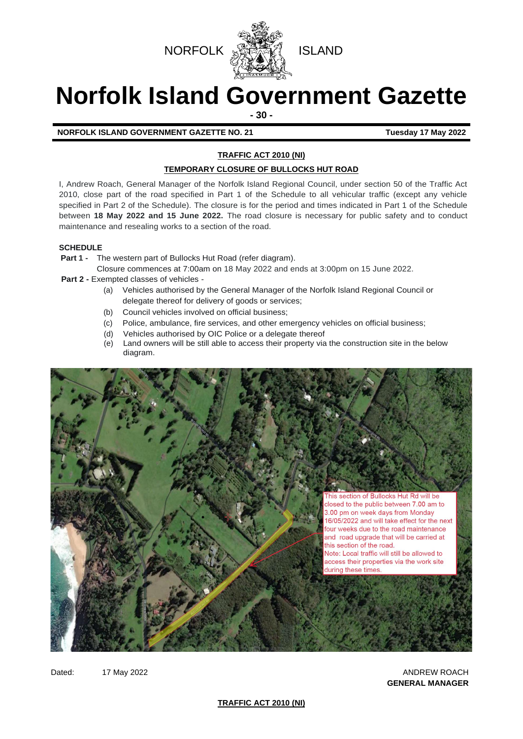



# **Norfolk Island Government Gazette**

**- 30 -**

**NORFOLK ISLAND GOVERNMENT GAZETTE NO. 21 Tuesday 17 May 2022**

### **TRAFFIC ACT 2010 (NI)**

## **TEMPORARY CLOSURE OF BULLOCKS HUT ROAD**

I, Andrew Roach, General Manager of the Norfolk Island Regional Council, under section 50 of the Traffic Act 2010, close part of the road specified in Part 1 of the Schedule to all vehicular traffic (except any vehicle specified in Part 2 of the Schedule). The closure is for the period and times indicated in Part 1 of the Schedule between **18 May 2022 and 15 June 2022.** The road closure is necessary for public safety and to conduct maintenance and resealing works to a section of the road.

#### **SCHEDULE**

**Part 1 -** The western part of Bullocks Hut Road (refer diagram).

Closure commences at 7:00am on 18 May 2022 and ends at 3:00pm on 15 June 2022.

- **Part 2 -** Exempted classes of vehicles
	- (a) Vehicles authorised by the General Manager of the Norfolk Island Regional Council or delegate thereof for delivery of goods or services;
	- (b) Council vehicles involved on official business;
	- (c) Police, ambulance, fire services, and other emergency vehicles on official business;
	- (d) Vehicles authorised by OIC Police or a delegate thereof
	- (e) Land owners will be still able to access their property via the construction site in the below diagram.



Dated: 17 May 2022 2008 12:00 12:00 12:00 12:00 12:00 12:00 12:00 12:00 12:00 12:00 12:00 12:00 12:00 12:00 12:00 12:00 12:00 12:00 12:00 12:00 12:00 12:00 12:00 12:00 12:00 12:00 12:00 12:00 12:00 12:00 12:00 12:00 12:00

**GENERAL MANAGER**

#### **TRAFFIC ACT 2010 (NI)**